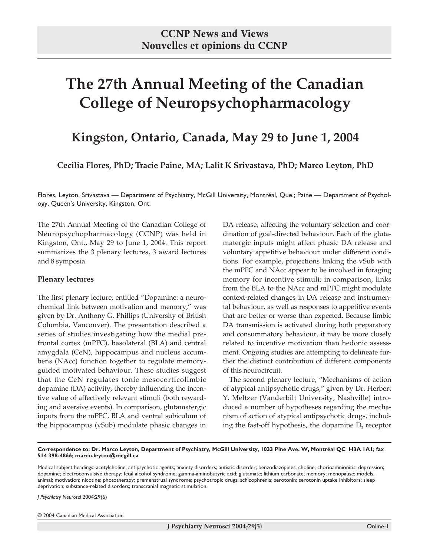# **The 27th Annual Meeting of the Canadian College of Neuropsychopharmacology**

# **Kingston, Ontario, Canada, May 29 to June 1, 2004**

**Cecilia Flores, PhD; Tracie Paine, MA; Lalit K Srivastava, PhD; Marco Leyton, PhD**

Flores, Leyton, Srivastava — Department of Psychiatry, McGill University, Montréal, Que.; Paine — Department of Psychology, Queen's University, Kingston, Ont.

The 27th Annual Meeting of the Canadian College of Neuropsychopharmacology (CCNP) was held in Kingston, Ont., May 29 to June 1, 2004. This report summarizes the 3 plenary lectures, 3 award lectures and 8 symposia.

#### **Plenary lectures**

The first plenary lecture, entitled "Dopamine: a neurochemical link between motivation and memory," was given by Dr. Anthony G. Phillips (University of British Columbia, Vancouver). The presentation described a series of studies investigating how the medial prefrontal cortex (mPFC), basolateral (BLA) and central amygdala (CeN), hippocampus and nucleus accumbens (NAcc) function together to regulate memoryguided motivated behaviour. These studies suggest that the CeN regulates tonic mesocorticolimbic dopamine (DA) activity, thereby influencing the incentive value of affectively relevant stimuli (both rewarding and aversive events). In comparison, glutamatergic inputs from the mPFC, BLA and ventral subiculum of the hippocampus (vSub) modulate phasic changes in

DA release, affecting the voluntary selection and coordination of goal-directed behaviour. Each of the glutamatergic inputs might affect phasic DA release and voluntary appetitive behaviour under different conditions. For example, projections linking the vSub with the mPFC and NAcc appear to be involved in foraging memory for incentive stimuli; in comparison, links from the BLA to the NAcc and mPFC might modulate context-related changes in DA release and instrumental behaviour, as well as responses to appetitive events that are better or worse than expected. Because limbic DA transmission is activated during both preparatory and consummatory behaviour, it may be more closely related to incentive motivation than hedonic assessment. Ongoing studies are attempting to delineate further the distinct contribution of different components of this neurocircuit.

The second plenary lecture, "Mechanisms of action of atypical antipsychotic drugs," given by Dr. Herbert Y. Meltzer (Vanderbilt University, Nashville) introduced a number of hypotheses regarding the mechanism of action of atypical antipsychotic drugs, including the fast-off hypothesis, the dopamine  $D_2$  receptor

**Correspondence to: Dr. Marco Leyton, Department of Psychiatry, McGill University, 1033 Pine Ave. W, Montréal QC H3A 1A1; fax 514 398-4866; marco.leyton@mcgill.ca**

Medical subject headings: acetylcholine; antipsychotic agents; anxiety disorders; autistic disorder; benzodiazepines; choline; chorioamnionitis; depression; dopamine; electroconvulsive therapy; fetal alcohol syndrome; gamma-aminobutyric acid; glutamate; lithium carbonate; memory; menopause; models, animal; motivation; nicotine; phototherapy; premenstrual syndrome; psychotropic drugs; schizophrenia; serotonin; serotonin uptake inhibitors; sleep deprivation; substance-related disorders; transcranial magnetic stimulation.

*J Psychiatry Neurosci* 2004;29(6)

© 2004 Canadian Medical Association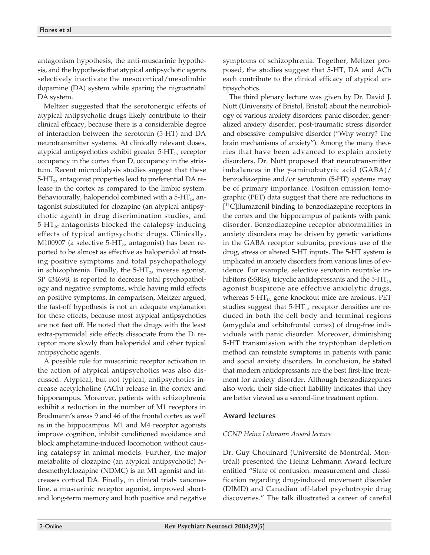antagonism hypothesis, the anti-muscarinic hypothesis, and the hypothesis that atypical antipsychotic agents selectively inactivate the mesocortical/mesolimbic dopamine (DA) system while sparing the nigrostriatal DA system.

Meltzer suggested that the serotonergic effects of atypical antipsychotic drugs likely contribute to their clinical efficacy, because there is a considerable degree of interaction between the serotonin (5-HT) and DA neurotransmitter systems. At clinically relevant doses, atypical antipsychotics exhibit greater  $5-HT<sub>2A</sub>$  receptor occupancy in the cortex than  $D_2$  occupancy in the striatum. Recent microdialysis studies suggest that these  $5-HT<sub>2A</sub>$  antagonist properties lead to preferential DA release in the cortex as compared to the limbic system. Behaviourally, haloperidol combined with a 5-HT<sub>2A</sub> antagonist substituted for clozapine (an atypical antipsychotic agent) in drug discrimination studies, and  $5-\text{HT}_{2c}$  antagonists blocked the catalepsy-inducing effects of typical antipsychotic drugs. Clinically, M100907 (a selective  $5-HT<sub>2A</sub>$  antagonist) has been reported to be almost as effective as haloperidol at treating positive symptoms and total psychopathology in schizophrenia. Finally, the  $5-HT_{2A}$  inverse agonist, SP 43469B, is reported to decrease total psychopathology and negative symptoms, while having mild effects on positive symptoms. In comparison, Meltzer argued, the fast-off hypothesis is not an adequate explanation for these effects, because most atypical antipsychotics are not fast off. He noted that the drugs with the least extra-pyramidal side effects dissociate from the  $D_2$  receptor more slowly than haloperidol and other typical antipsychotic agents.

A possible role for muscarinic receptor activation in the action of atypical antipsychotics was also discussed. Atypical, but not typical, antipsychotics increase acetylcholine (ACh) release in the cortex and hippocampus. Moreover, patients with schizophrenia exhibit a reduction in the number of M1 receptors in Brodmann's areas 9 and 46 of the frontal cortex as well as in the hippocampus. M1 and M4 receptor agonists improve cognition, inhibit conditioned avoidance and block amphetamine-induced locomotion without causing catalepsy in animal models. Further, the major metabolite of clozapine (an atypical antipsychotic) *N*desmethylclozapine (NDMC) is an M1 agonist and increases cortical DA. Finally, in clinical trials xanomeline, a muscarinic receptor agonist, improved shortand long-term memory and both positive and negative symptoms of schizophrenia. Together, Meltzer proposed, the studies suggest that 5-HT, DA and ACh each contribute to the clinical efficacy of atypical antipsychotics.

The third plenary lecture was given by Dr. David J. Nutt (University of Bristol, Bristol) about the neurobiology of various anxiety disorders: panic disorder, generalized anxiety disorder, post-traumatic stress disorder and obsessive–compulsive disorder ("Why worry? The brain mechanisms of anxiety"). Among the many theories that have been advanced to explain anxiety disorders, Dr. Nutt proposed that neurotransmitter imbalances in the  $\gamma$ -aminobutyric acid (GABA)/ benzodiazepine and/or serotonin (5-HT) systems may be of primary importance. Positron emission tomographic (PET) data suggest that there are reductions in [<sup>11</sup>C]flumazenil binding to benzodiazepine receptors in the cortex and the hippocampus of patients with panic disorder. Benzodiazepine receptor abnormalities in anxiety disorders may be driven by genetic variations in the GABA receptor subunits, previous use of the drug, stress or altered 5-HT inputs. The 5-HT system is implicated in anxiety disorders from various lines of evidence. For example, selective serotonin reuptake inhibitors (SSRIs), tricyclic antidepressants and the  $5-HT<sub>1A</sub>$ agonist buspirone are effective anxiolytic drugs, whereas  $5-HT<sub>1A</sub>$  gene knockout mice are anxious. PET studies suggest that  $5-HT<sub>1A</sub>$  receptor densities are reduced in both the cell body and terminal regions (amygdala and orbitofrontal cortex) of drug-free individuals with panic disorder. Moreover, diminishing 5-HT transmission with the tryptophan depletion method can reinstate symptoms in patients with panic and social anxiety disorders. In conclusion, he stated that modern antidepressants are the best first-line treatment for anxiety disorder. Although benzodiazepines also work, their side-effect liability indicates that they are better viewed as a second-line treatment option.

#### **Award lectures**

#### *CCNP Heinz Lehmann Award lecture*

Dr. Guy Chouinard (Université de Montréal, Montréal) presented the Heinz Lehmann Award lecture entitled "State of confusion: measurement and classification regarding drug-induced movement disorder (DIMD) and Canadian off-label psychotropic drug discoveries." The talk illustrated a career of careful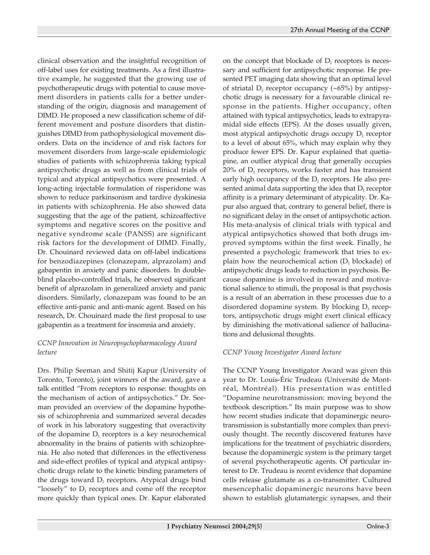clinical observation and the insightful recognition of off-label uses for existing treatments. As a first illustrative example, he suggested that the growing use of psychotherapeutic drugs with potential to cause movement disorders in patients calls for a better understanding of the origin, diagnosis and management of DIMD. He proposed a new classification scheme of different movement and posture disorders that distinguishes DIMD from pathophysiological movement disorders. Data on the incidence of and risk factors for movement disorders from large-scale epidemiologic studies of patients with schizophrenia taking typical antipsychotic drugs as well as from clinical trials of typical and atypical antipsychotics were presented. A long-acting injectable formulation of risperidone was shown to reduce parkinsonism and tardive dyskinesia in patients with schizophrenia. He also showed data suggesting that the age of the patient, schizoaffective symptoms and negative scores on the positive and negative syndrome scale (PANSS) are significant risk factors for the development of DIMD. Finally, Dr. Chouinard reviewed data on off-label indications for benzodiazepines (clonazepam, alprazolam) and gabapentin in anxiety and panic disorders. In doubleblind placebo-controlled trials, he observed significant benefit of alprazolam in generalized anxiety and panic disorders. Similarly, clonazepam was found to be an effective anti-panic and anti-manic agent. Based on his research, Dr. Chouinard made the first proposal to use gabapentin as a treatment for insomnia and anxiety.

# *CCNP Innovation in Neuropsychopharmacology Award lecture*

Drs. Philip Seeman and Shitij Kapur (University of Toronto, Toronto), joint winners of the award, gave a talk entitled "From receptors to response: thoughts on the mechanism of action of antipsychotics." Dr. Seeman provided an overview of the dopamine hypothesis of schizophrenia and summarized several decades of work in his laboratory suggesting that overactivity of the dopamine  $D_2$  receptors is a key neurochemical abnormality in the brains of patients with schizophrenia. He also noted that differences in the effectiveness and side-effect profiles of typical and atypical antipsychotic drugs relate to the kinetic binding parameters of the drugs toward  $D_2$  receptors. Atypical drugs bind "loosely" to  $D_2$  receptors and come off the receptor more quickly than typical ones. Dr. Kapur elaborated

on the concept that blockade of  $D_2$  receptors is necessary and sufficient for antipsychotic response. He presented PET imaging data showing that an optimal level of striatal  $D_2$  receptor occupancy (~65%) by antipsychotic drugs is necessary for a favourable clinical response in the patients. Higher occupancy, often attained with typical antipsychotics, leads to extrapyramidal side effects (EPS). At the doses usually given, most atypical antipsychotic drugs occupy  $D_2$  receptor to a level of about 65%, which may explain why they produce fewer EPS. Dr. Kapur explained that quetiapine, an outlier atypical drug that generally occupies  $20\%$  of  $D_2$  receptors, works faster and has transient early high occupancy of the  $D_2$  receptors. He also presented animal data supporting the idea that  $D_2$  receptor affinity is a primary determinant of atypicality. Dr. Kapur also argued that, contrary to general belief, there is no significant delay in the onset of antipsychotic action. His meta-analysis of clinical trials with typical and atypical antipsychotics showed that both drugs improved symptoms within the first week. Finally, he presented a psychologic framework that tries to explain how the neurochemical action  $(D_2)$  blockade) of antipsychotic drugs leads to reduction in psychosis. Because dopamine is involved in reward and motivational salience to stimuli, the proposal is that psychosis is a result of an aberration in these processes due to a disordered dopamine system. By blocking  $D_2$  receptors, antipsychotic drugs might exert clinical efficacy by diminishing the motivational salience of hallucinations and delusional thoughts.

# *CCNP Young Investigator Award lecture*

The CCNP Young Investigator Award was given this year to Dr. Louis-Éric Trudeau (Université de Montréal, Montréal). His presentation was entitled "Dopamine neurotransmission: moving beyond the textbook description." Its main purpose was to show how recent studies indicate that dopaminergic neurotransmission is substantially more complex than previously thought. The recently discovered features have implications for the treatment of psychiatric disorders, because the dopaminergic system is the primary target of several psychotherapeutic agents. Of particular interest to Dr. Trudeau is recent evidence that dopamine cells release glutamate as a co-transmitter. Cultured mesencephalic dopaminergic neurons have been shown to establish glutamatergic synapses, and their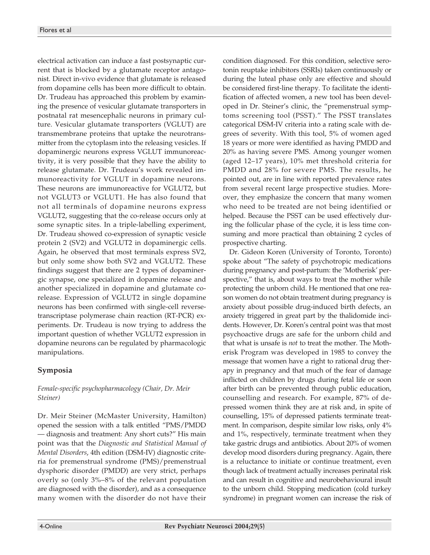electrical activation can induce a fast postsynaptic current that is blocked by a glutamate receptor antagonist. Direct in-vivo evidence that glutamate is released from dopamine cells has been more difficult to obtain. Dr. Trudeau has approached this problem by examining the presence of vesicular glutamate transporters in postnatal rat mesencephalic neurons in primary culture. Vesicular glutamate transporters (VGLUT) are transmembrane proteins that uptake the neurotransmitter from the cytoplasm into the releasing vesicles. If dopaminergic neurons express VGLUT immunoreactivity, it is very possible that they have the ability to release glutamate. Dr. Trudeau's work revealed immunoreactivity for VGLUT in dopamine neurons. These neurons are immunoreactive for VGLUT2, but not VGLUT3 or VGLUT1. He has also found that not all terminals of dopamine neurons express VGLUT2, suggesting that the co-release occurs only at some synaptic sites. In a triple-labelling experiment, Dr. Trudeau showed co-expression of synaptic vesicle protein 2 (SV2) and VGLUT2 in dopaminergic cells. Again, he observed that most terminals express SV2, but only some show both SV2 and VGLUT2. These findings suggest that there are 2 types of dopaminergic synapse, one specialized in dopamine release and another specialized in dopamine and glutamate corelease. Expression of VGLUT2 in single dopamine neurons has been confirmed with single-cell reversetranscriptase polymerase chain reaction (RT-PCR) experiments. Dr. Trudeau is now trying to address the important question of whether VGLUT2 expression in dopamine neurons can be regulated by pharmacologic manipulations.

# **Symposia**

#### *Female-specific psychopharmacology (Chair, Dr. Meir Steiner)*

Dr. Meir Steiner (McMaster University, Hamilton) opened the session with a talk entitled "PMS/PMDD — diagnosis and treatment: Any short cuts?" His main point was that the *Diagnostic and Statistical Manual of Mental Disorders*, 4th edition (DSM-IV) diagnostic criteria for premenstrual syndrome (PMS)/premenstrual dysphoric disorder (PMDD) are very strict, perhaps overly so (only 3%–8% of the relevant population are diagnosed with the disorder), and as a consequence many women with the disorder do not have their

condition diagnosed. For this condition, selective serotonin reuptake inhibitors (SSRIs) taken continuously or during the luteal phase only are effective and should be considered first-line therapy. To facilitate the identification of affected women, a new tool has been developed in Dr. Steiner's clinic, the "premenstrual symptoms screening tool (PSST)." The PSST translates categorical DSM-IV criteria into a rating scale with degrees of severity. With this tool, 5% of women aged 18 years or more were identified as having PMDD and 20% as having severe PMS. Among younger women (aged 12–17 years), 10% met threshold criteria for PMDD and 28% for severe PMS. The results, he pointed out, are in line with reported prevalence rates from several recent large prospective studies. Moreover, they emphasize the concern that many women who need to be treated are not being identified or helped. Because the PSST can be used effectively during the follicular phase of the cycle, it is less time consuming and more practical than obtaining 2 cycles of prospective charting.

Dr. Gideon Koren (University of Toronto, Toronto) spoke about "The safety of psychotropic medications during pregnancy and post-partum: the 'Motherisk' perspective," that is, about ways to treat the mother while protecting the unborn child. He mentioned that one reason women do not obtain treatment during pregnancy is anxiety about possible drug-induced birth defects, an anxiety triggered in great part by the thalidomide incidents. However, Dr. Koren's central point was that most psychoactive drugs are safe for the unborn child and that what is unsafe is *not* to treat the mother. The Motherisk Program was developed in 1985 to convey the message that women have a right to rational drug therapy in pregnancy and that much of the fear of damage inflicted on children by drugs during fetal life or soon after birth can be prevented through public education, counselling and research. For example, 87% of depressed women think they are at risk and, in spite of counselling, 15% of depressed patients terminate treatment. In comparison, despite similar low risks, only 4% and 1%, respectively, terminate treatment when they take gastric drugs and antibiotics. About 20% of women develop mood disorders during pregnancy. Again, there is a reluctance to initiate or continue treatment, even though lack of treatment actually increases perinatal risk and can result in cognitive and neurobehavioural insult to the unborn child. Stopping medication (cold turkey syndrome) in pregnant women can increase the risk of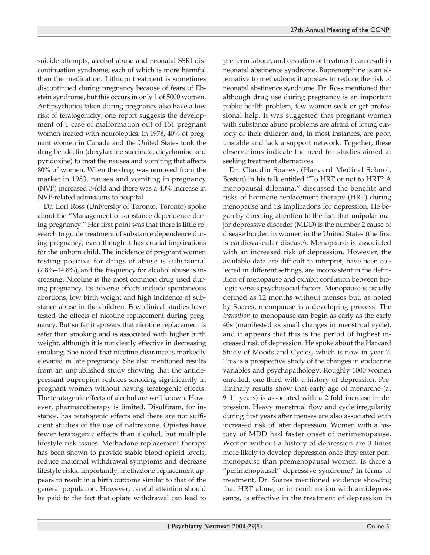suicide attempts, alcohol abuse and neonatal SSRI discontinuation syndrome, each of which is more harmful than the medication. Lithium treatment is sometimes discontinued during pregnancy because of fears of Ebstein syndrome, but this occurs in only 1 of 5000 women. Antipsychotics taken during pregnancy also have a low risk of teratogenicity; one report suggests the development of 1 case of malformation out of 151 pregnant women treated with neuroleptics. In 1978, 40% of pregnant women in Canada and the United States took the drug bendectin (doxylamine succinate, dicyclomine and pyridoxine) to treat the nausea and vomiting that affects 80% of women. When the drug was removed from the market in 1983, nausea and vomiting in pregnancy (NVP) increased 3-fold and there was a 40% increase in NVP-related admissions to hospital.

Dr. Lori Ross (University of Toronto, Toronto) spoke about the "Management of substance dependence during pregnancy." Her first point was that there is little research to guide treatment of substance dependence during pregnancy, even though it has crucial implications for the unborn child. The incidence of pregnant women testing positive for drugs of abuse is substantial (7.8%–14.8%), and the frequency for alcohol abuse is increasing. Nicotine is the most common drug used during pregnancy. Its adverse effects include spontaneous abortions, low birth weight and high incidence of substance abuse in the children. Few clinical studies have tested the effects of nicotine replacement during pregnancy. But so far it appears that nicotine replacement is safer than smoking and is associated with higher birth weight, although it is not clearly effective in decreasing smoking. She noted that nicotine clearance is markedly elevated in late pregnancy. She also mentioned results from an unpublished study showing that the antidepressant bupropion reduces smoking significantly in pregnant women without having teratogenic effects. The teratogenic effects of alcohol are well known. However, pharmacotherapy is limited. Disulfiram, for instance, has teratogenic effects and there are not sufficient studies of the use of naltrexone. Opiates have fewer teratogenic effects than alcohol, but multiple lifestyle risk issues. Methadone replacement therapy has been shown to provide stable blood opioid levels, reduce maternal withdrawal symptoms and decrease lifestyle risks. Importantly, methadone replacement appears to result in a birth outcome similar to that of the general population. However, careful attention should be paid to the fact that opiate withdrawal can lead to

pre-term labour, and cessation of treatment can result in neonatal abstinence syndrome. Buprenorphine is an alternative to methadone: it appears to reduce the risk of neonatal abstinence syndrome. Dr. Ross mentioned that although drug use during pregnancy is an important public health problem, few women seek or get professional help. It was suggested that pregnant women with substance abuse problems are afraid of losing custody of their children and, in most instances, are poor, unstable and lack a support network. Together, these observations indicate the need for studies aimed at seeking treatment alternatives.

Dr. Claudio Soares, (Harvard Medical School, Boston) in his talk entitled "To HRT or not to HRT? A menopausal dilemma," discussed the benefits and risks of hormone replacement therapy (HRT) during menopause and its implications for depression. He began by directing attention to the fact that unipolar major depressive disorder (MDD) is the number 2 cause of disease burden in women in the United States (the first is cardiovascular disease). Menopause is associated with an increased risk of depression. However, the available data are difficult to interpret, have been collected in different settings, are inconsistent in the definition of menopause and exhibit confusion between biologic versus psychosocial factors. Menopause is usually defined as 12 months without menses but, as noted by Soares, menopause is a developing process. The *transition* to menopause can begin as early as the early 40s (manifested as small changes in menstrual cycle), and it appears that this is the period of highest increased risk of depression. He spoke about the Harvard Study of Moods and Cycles, which is now in year 7. This is a prospective study of the changes in endocrine variables and psychopathology. Roughly 1000 women enrolled, one-third with a history of depression. Preliminary results show that early age of menarche (at 9–11 years) is associated with a 2-fold increase in depression. Heavy menstrual flow and cycle irregularity during first years after menses are also associated with increased risk of later depression. Women with a history of MDD had faster onset of perimenopause. Women without a history of depression are 3 times more likely to develop depression once they enter perimenopause than premenopausal women. Is there a "perimenopausal" depressive syndrome? In terms of treatment, Dr. Soares mentioned evidence showing that HRT alone, or in combination with antidepressants, is effective in the treatment of depression in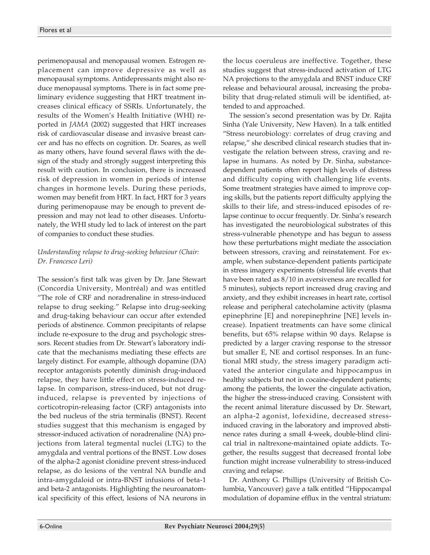perimenopausal and menopausal women. Estrogen replacement can improve depressive as well as menopausal symptoms. Antidepressants might also reduce menopausal symptoms. There is in fact some preliminary evidence suggesting that HRT treatment increases clinical efficacy of SSRIs. Unfortunately, the results of the Women's Health Initiative (WHI) reported in *JAMA* (2002) suggested that HRT increases risk of cardiovascular disease and invasive breast cancer and has no effects on cognition. Dr. Soares, as well as many others, have found several flaws with the design of the study and strongly suggest interpreting this result with caution. In conclusion, there is increased risk of depression in women in periods of intense changes in hormone levels. During these periods, women may benefit from HRT. In fact, HRT for 3 years during perimenopause may be enough to prevent depression and may not lead to other diseases. Unfortunately, the WHI study led to lack of interest on the part of companies to conduct these studies.

#### *Understanding relapse to drug-seeking behaviour (Chair: Dr. Francesco Leri)*

The session's first talk was given by Dr. Jane Stewart (Concordia University, Montréal) and was entitled "The role of CRF and noradrenaline in stress-induced relapse to drug seeking." Relapse into drug-seeking and drug-taking behaviour can occur after extended periods of abstinence. Common precipitants of relapse include re-exposure to the drug and psychologic stressors. Recent studies from Dr. Stewart's laboratory indicate that the mechanisms mediating these effects are largely distinct. For example, although dopamine (DA) receptor antagonists potently diminish drug-induced relapse, they have little effect on stress-induced relapse. In comparison, stress-induced, but not druginduced, relapse is prevented by injections of corticotropin-releasing factor (CRF) antagonists into the bed nucleus of the stria terminalis (BNST). Recent studies suggest that this mechanism is engaged by stressor-induced activation of noradrenaline (NA) projections from lateral tegmental nuclei (LTG) to the amygdala and ventral portions of the BNST. Low doses of the alpha-2 agonist clonidine prevent stress-induced relapse, as do lesions of the ventral NA bundle and intra-amygdaloid or intra-BNST infusions of beta-1 and beta-2 antagonists. Highlighting the neuroanatomical specificity of this effect, lesions of NA neurons in the locus coeruleus are ineffective. Together, these studies suggest that stress-induced activation of LTG NA projections to the amygdala and BNST induce CRF release and behavioural arousal, increasing the probability that drug-related stimuli will be identified, attended to and approached.

The session's second presentation was by Dr. Rajita Sinha (Yale University, New Haven). In a talk entitled "Stress neurobiology: correlates of drug craving and relapse," she described clinical research studies that investigate the relation between stress, craving and relapse in humans. As noted by Dr. Sinha, substancedependent patients often report high levels of distress and difficulty coping with challenging life events. Some treatment strategies have aimed to improve coping skills, but the patients report difficulty applying the skills to their life, and stress-induced episodes of relapse continue to occur frequently. Dr. Sinha's research has investigated the neurobiological substrates of this stress-vulnerable phenotype and has begun to assess how these perturbations might mediate the association between stressors, craving and reinstatement. For example, when substance-dependent patients participate in stress imagery experiments (stressful life events that have been rated as 8/10 in aversiveness are recalled for 5 minutes), subjects report increased drug craving and anxiety, and they exhibit increases in heart rate, cortisol release and peripheral catecholamine activity (plasma epinephrine [E] and norepinephrine [NE] levels increase). Inpatient treatments can have some clinical benefits, but 65% relapse within 90 days. Relapse is predicted by a larger craving response to the stressor but smaller E, NE and cortisol responses. In an functional MRI study, the stress imagery paradigm activated the anterior cingulate and hippocampus in healthy subjects but not in cocaine-dependent patients; among the patients, the lower the cingulate activation, the higher the stress-induced craving. Consistent with the recent animal literature discussed by Dr. Stewart, an alpha-2 agonist, lofexidine, decreased stressinduced craving in the laboratory and improved abstinence rates during a small 4-week, double-blind clinical trial in naltrexone-maintained opiate addicts. Together, the results suggest that decreased frontal lobe function might increase vulnerability to stress-induced craving and relapse.

Dr. Anthony G. Phillips (University of British Columbia, Vancouver) gave a talk entitled "Hippocampal modulation of dopamine efflux in the ventral striatum: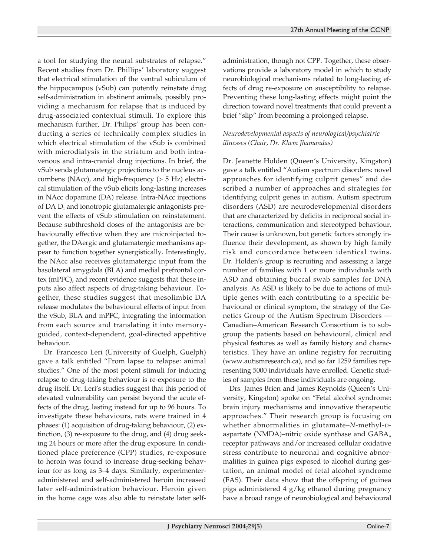a tool for studying the neural substrates of relapse." Recent studies from Dr. Phillips' laboratory suggest that electrical stimulation of the ventral subiculum of the hippocampus (vSub) can potently reinstate drug self-administration in abstinent animals, possibly providing a mechanism for relapse that is induced by drug-associated contextual stimuli. To explore this mechanism further, Dr. Philips' group has been conducting a series of technically complex studies in which electrical stimulation of the vSub is combined with microdialysis in the striatum and both intravenous and intra-cranial drug injections. In brief, the vSub sends glutamatergic projections to the nucleus accumbens (NAcc), and high-frequency (> 5 Hz) electrical stimulation of the vSub elicits long-lasting increases in NAcc dopamine (DA) release. Intra-NAcc injections of DA  $D_1$  and ionotropic glutamatergic antagonists prevent the effects of vSub stimulation on reinstatement. Because subthreshold doses of the antagonists are behaviourally effective when they are microinjected together, the DAergic and glutamatergic mechanisms appear to function together synergistically. Interestingly, the NAcc also receives glutamatergic input from the basolateral amygdala (BLA) and medial prefrontal cortex (mPFC), and recent evidence suggests that these inputs also affect aspects of drug-taking behaviour. Together, these studies suggest that mesolimbic DA release modulates the behavioural effects of input from the vSub, BLA and mPFC, integrating the information from each source and translating it into memoryguided, context-dependent, goal-directed appetitive behaviour.

Dr. Francesco Leri (University of Guelph, Guelph) gave a talk entitled "From lapse to relapse: animal studies." One of the most potent stimuli for inducing relapse to drug-taking behaviour is re-exposure to the drug itself. Dr. Leri's studies suggest that this period of elevated vulnerability can persist beyond the acute effects of the drug, lasting instead for up to 96 hours. To investigate these behaviours, rats were trained in 4 phases: (1) acquisition of drug-taking behaviour, (2) extinction, (3) re-exposure to the drug, and (4) drug seeking 24 hours or more after the drug exposure. In conditioned place preference (CPP) studies, re-exposure to heroin was found to increase drug-seeking behaviour for as long as 3–4 days. Similarly, experimenteradministered and self-administered heroin increased later self-administration behaviour. Heroin given in the home cage was also able to reinstate later self-

administration, though not CPP. Together, these observations provide a laboratory model in which to study neurobiological mechanisms related to long-lasting effects of drug re-exposure on susceptibility to relapse. Preventing these long-lasting effects might point the direction toward novel treatments that could prevent a brief "slip" from becoming a prolonged relapse.

## *Neurodevelopmental aspects of neurological/psychiatric illnesses (Chair, Dr. Khem Jhamandas)*

Dr. Jeanette Holden (Queen's University, Kingston) gave a talk entitled "Autism spectrum disorders: novel approaches for identifying culprit genes" and described a number of approaches and strategies for identifying culprit genes in autism. Autism spectrum disorders (ASD) are neurodevelopmental disorders that are characterized by deficits in reciprocal social interactions, communication and stereotyped behaviour. Their cause is unknown, but genetic factors strongly influence their development, as shown by high family risk and concordance between identical twins. Dr. Holden's group is recruiting and assessing a large number of families with 1 or more individuals with ASD and obtaining buccal swab samples for DNA analysis. As ASD is likely to be due to actions of multiple genes with each contributing to a specific behavioural or clinical symptom, the strategy of the Genetics Group of the Autism Spectrum Disorders — Canadian–American Research Consortium is to subgroup the patients based on behavioural, clinical and physical features as well as family history and characteristics. They have an online registry for recruiting (www.autismresearch.ca), and so far 1259 families representing 5000 individuals have enrolled. Genetic studies of samples from these individuals are ongoing.

Drs. James Brien and James Reynolds (Queen's University, Kingston) spoke on "Fetal alcohol syndrome: brain injury mechanisms and innovative therapeutic approaches." Their research group is focusing on whether abnormalities in glutamate–*N*-methyl-Daspartate (NMDA)–nitric oxide synthase and  $GABA_A$ receptor pathways and/or increased cellular oxidative stress contribute to neuronal and cognitive abnormalities in guinea pigs exposed to alcohol during gestation, an animal model of fetal alcohol syndrome (FAS). Their data show that the offspring of guinea pigs administered 4 g/kg ethanol during pregnancy have a broad range of neurobiological and behavioural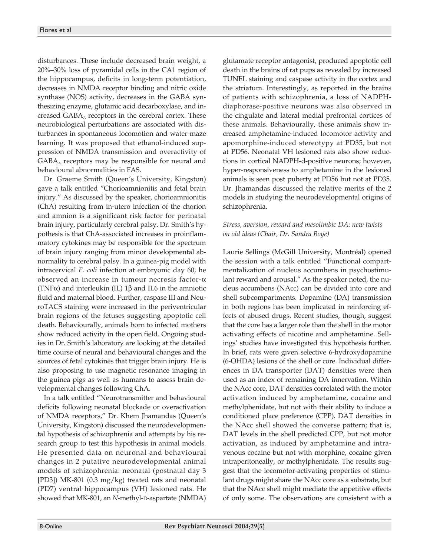disturbances. These include decreased brain weight, a 20%–30% loss of pyramidal cells in the CA1 region of the hippocampus, deficits in long-term potentiation, decreases in NMDA receptor binding and nitric oxide synthase (NOS) activity, decreases in the GABA synthesizing enzyme, glutamic acid decarboxylase, and increased  $GABA_A$  receptors in the cerebral cortex. These neurobiological perturbations are associated with disturbances in spontaneous locomotion and water-maze learning. It was proposed that ethanol-induced suppression of NMDA transmission and overactivity of  $GABA_A$  receptors may be responsible for neural and behavioural abnormalities in FAS.

Dr. Graeme Smith (Queen's University, Kingston) gave a talk entitled "Chorioamnionitis and fetal brain injury." As discussed by the speaker, chorioamnionitis (ChA) resulting from in-utero infection of the chorion and amnion is a significant risk factor for perinatal brain injury, particularly cerebral palsy. Dr. Smith's hypothesis is that ChA-associated increases in proinflammatory cytokines may be responsible for the spectrum of brain injury ranging from minor developmental abnormality to cerebral palsy. In a guinea-pig model with intracervical *E. coli* infection at embryonic day 60, he observed an increase in tumour necrosis factor-α (TNF $\alpha$ ) and interleukin (IL) 1 $\beta$  and IL6 in the amniotic fluid and maternal blood. Further, caspase III and NeuroTACS staining were increased in the periventricular brain regions of the fetuses suggesting apoptotic cell death. Behaviourally, animals born to infected mothers show reduced activity in the open field. Ongoing studies in Dr. Smith's laboratory are looking at the detailed time course of neural and behavioural changes and the sources of fetal cytokines that trigger brain injury. He is also proposing to use magnetic resonance imaging in the guinea pigs as well as humans to assess brain developmental changes following ChA.

In a talk entitled "Neurotransmitter and behavioural deficits following neonatal blockade or overactivation of NMDA receptors," Dr. Khem Jhamandas (Queen's University, Kingston) discussed the neurodevelopmental hypothesis of schizophrenia and attempts by his research group to test this hypothesis in animal models. He presented data on neuronal and behavioural changes in 2 putative neurodevelopmental animal models of schizophrenia: neonatal (postnatal day 3 [PD3]) MK-801 (0.3 mg/kg) treated rats and neonatal (PD7) ventral hippocampus (VH) lesioned rats. He showed that MK-801, an *N*-methyl-D-aspartate (NMDA) glutamate receptor antagonist, produced apoptotic cell death in the brains of rat pups as revealed by increased TUNEL staining and caspase activity in the cortex and the striatum. Interestingly, as reported in the brains of patients with schizophrenia, a loss of NADPHdiaphorase-positive neurons was also observed in the cingulate and lateral medial prefrontal cortices of these animals. Behaviourally, these animals show increased amphetamine-induced locomotor activity and apomorphine-induced stereotypy at PD35, but not at PD56. Neonatal VH lesioned rats also show reductions in cortical NADPH-d-positive neurons; however, hyper-responsiveness to amphetamine in the lesioned animals is seen post puberty at PD56 but not at PD35. Dr. Jhamandas discussed the relative merits of the 2 models in studying the neurodevelopmental origins of schizophrenia.

#### *Stress, aversion, reward and mesolimbic DA: new twists on old ideas (Chair, Dr. Sandra Boye)*

Laurie Sellings (McGill University, Montréal) opened the session with a talk entitled "Functional compartmentalization of nucleus accumbens in psychostimulant reward and arousal." As the speaker noted, the nucleus accumbens (NAcc) can be divided into core and shell subcompartments. Dopamine (DA) transmission in both regions has been implicated in reinforcing effects of abused drugs. Recent studies, though, suggest that the core has a larger role than the shell in the motor activating effects of nicotine and amphetamine. Sellings' studies have investigated this hypothesis further. In brief, rats were given selective 6-hydroxydopamine (6-OHDA) lesions of the shell or core. Individual differences in DA transporter (DAT) densities were then used as an index of remaining DA innervation. Within the NAcc core, DAT densities correlated with the motor activation induced by amphetamine, cocaine and methylphenidate, but not with their ability to induce a conditioned place preference (CPP). DAT densities in the NAcc shell showed the converse pattern; that is, DAT levels in the shell predicted CPP, but not motor activation, as induced by amphetamine and intravenous cocaine but not with morphine, cocaine given intraperitoneally, or methylphenidate. The results suggest that the locomotor-activating properties of stimulant drugs might share the NAcc core as a substrate, but that the NAcc shell might mediate the appetitive effects of only some. The observations are consistent with a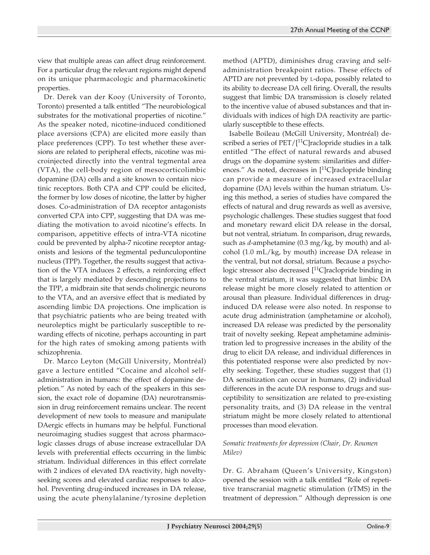view that multiple areas can affect drug reinforcement. For a particular drug the relevant regions might depend on its unique pharmacologic and pharmacokinetic properties.

Dr. Derek van der Kooy (University of Toronto, Toronto) presented a talk entitled "The neurobiological substrates for the motivational properties of nicotine." As the speaker noted, nicotine-induced conditioned place aversions (CPA) are elicited more easily than place preferences (CPP). To test whether these aversions are related to peripheral effects, nicotine was microinjected directly into the ventral tegmental area (VTA), the cell-body region of mesocorticolimbic dopamine (DA) cells and a site known to contain nicotinic receptors. Both CPA and CPP could be elicited, the former by low doses of nicotine, the latter by higher doses. Co-administration of DA receptor antagonists converted CPA into CPP, suggesting that DA was mediating the motivation to avoid nicotine's effects. In comparison, appetitive effects of intra-VTA nicotine could be prevented by alpha-7 nicotine receptor antagonists and lesions of the tegmental pedunculopontine nucleus (TPP). Together, the results suggest that activation of the VTA induces 2 effects, a reinforcing effect that is largely mediated by descending projections to the TPP, a midbrain site that sends cholinergic neurons to the VTA, and an aversive effect that is mediated by ascending limbic DA projections. One implication is that psychiatric patients who are being treated with neuroleptics might be particularly susceptible to rewarding effects of nicotine, perhaps accounting in part for the high rates of smoking among patients with schizophrenia.

Dr. Marco Leyton (McGill University, Montréal) gave a lecture entitled "Cocaine and alcohol selfadministration in humans: the effect of dopamine depletion." As noted by each of the speakers in this session, the exact role of dopamine (DA) neurotransmission in drug reinforcement remains unclear. The recent development of new tools to measure and manipulate DAergic effects in humans may be helpful. Functional neuroimaging studies suggest that across pharmacologic classes drugs of abuse increase extracellular DA levels with preferential effects occurring in the limbic striatum. Individual differences in this effect correlate with 2 indices of elevated DA reactivity, high noveltyseeking scores and elevated cardiac responses to alcohol. Preventing drug-induced increases in DA release, using the acute phenylalanine/tyrosine depletion

method (APTD), diminishes drug craving and selfadministration breakpoint ratios. These effects of APTD are not prevented by L-dopa, possibly related to its ability to decrease DA cell firing. Overall, the results suggest that limbic DA transmission is closely related to the incentive value of abused substances and that individuals with indices of high DA reactivity are particularly susceptible to these effects.

Isabelle Boileau (McGill University, Montréal) described a series of  $\text{PET}/[{}^{11}C]$ raclopride studies in a talk entitled "The effect of natural rewards and abused drugs on the dopamine system: similarities and differences." As noted, decreases in  $[$ <sup>11</sup>C] raclopride binding can provide a measure of increased extracellular dopamine (DA) levels within the human striatum. Using this method, a series of studies have compared the effects of natural and drug rewards as well as aversive, psychologic challenges. These studies suggest that food and monetary reward elicit DA release in the dorsal, but not ventral, striatum. In comparison, drug rewards, such as *d*-amphetamine (0.3 mg/kg, by mouth) and alcohol (1.0 mL/kg, by mouth) increase DA release in the ventral, but not dorsal, striatum. Because a psychologic stressor also decreased [<sup>11</sup>C]raclopride binding in the ventral striatum, it was suggested that limbic DA release might be more closely related to attention or arousal than pleasure. Individual differences in druginduced DA release were also noted. In response to acute drug administration (amphetamine or alcohol), increased DA release was predicted by the personality trait of novelty seeking. Repeat amphetamine administration led to progressive increases in the ability of the drug to elicit DA release, and individual differences in this potentiated response were also predicted by novelty seeking. Together, these studies suggest that (1) DA sensitization can occur in humans, (2) individual differences in the acute DA response to drugs and susceptibility to sensitization are related to pre-existing personality traits, and (3) DA release in the ventral striatum might be more closely related to attentional processes than mood elevation.

### *Somatic treatments for depression (Chair, Dr. Roumen Milev)*

Dr. G. Abraham (Queen's University, Kingston) opened the session with a talk entitled "Role of repetitive transcranial magnetic stimulation (rTMS) in the treatment of depression." Although depression is one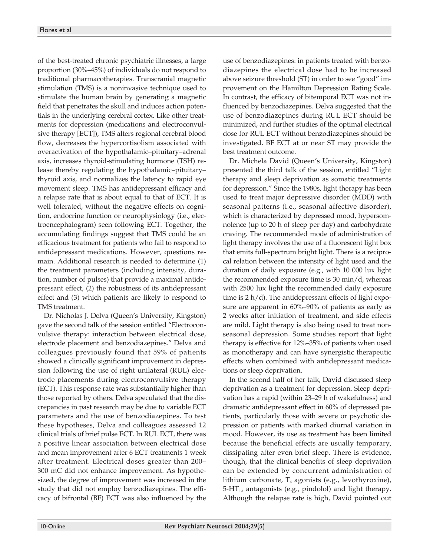of the best-treated chronic psychiatric illnesses, a large proportion (30%–45%) of individuals do not respond to traditional pharmacotherapies. Transcranial magnetic stimulation (TMS) is a noninvasive technique used to stimulate the human brain by generating a magnetic field that penetrates the skull and induces action potentials in the underlying cerebral cortex. Like other treatments for depression (medications and electroconvulsive therapy [ECT]), TMS alters regional cerebral blood flow, decreases the hypercortisolism associated with overactivation of the hypothalamic–pituitary–adrenal axis, increases thyroid-stimulating hormone (TSH) release thereby regulating the hypothalamic–pituitary– thyroid axis, and normalizes the latency to rapid eye movement sleep. TMS has antidepressant efficacy and a relapse rate that is about equal to that of ECT. It is well tolerated, without the negative effects on cognition, endocrine function or neurophysiology (i.e., electroencephalogram) seen following ECT. Together, the accumulating findings suggest that TMS could be an efficacious treatment for patients who fail to respond to antidepressant medications. However, questions remain. Additional research is needed to determine (1) the treatment parameters (including intensity, duration, number of pulses) that provide a maximal antidepressant effect, (2) the robustness of its antidepressant effect and (3) which patients are likely to respond to TMS treatment.

Dr. Nicholas J. Delva (Queen's University, Kingston) gave the second talk of the session entitled "Electroconvulsive therapy: interaction between electrical dose, electrode placement and benzodiazepines." Delva and colleagues previously found that 59% of patients showed a clinically significant improvement in depression following the use of right unilateral (RUL) electrode placements during electroconvulsive therapy (ECT). This response rate was substantially higher than those reported by others. Delva speculated that the discrepancies in past research may be due to variable ECT parameters and the use of benzodiazepines. To test these hypotheses, Delva and colleagues assessed 12 clinical trials of brief pulse ECT. In RUL ECT, there was a positive linear association between electrical dose and mean improvement after 6 ECT treatments 1 week after treatment. Electrical doses greater than 200– 300 mC did not enhance improvement. As hypothesized, the degree of improvement was increased in the study that did not employ benzodiazepines. The efficacy of bifrontal (BF) ECT was also influenced by the

use of benzodiazepines: in patients treated with benzodiazepines the electrical dose had to be increased above seizure threshold (ST) in order to see "good" improvement on the Hamilton Depression Rating Scale. In contrast, the efficacy of bitemporal ECT was not influenced by benzodiazepines. Delva suggested that the use of benzodiazepines during RUL ECT should be minimized, and further studies of the optimal electrical dose for RUL ECT without benzodiazepines should be investigated. BF ECT at or near ST may provide the best treatment outcome.

Dr. Michela David (Queen's University, Kingston) presented the third talk of the session, entitled "Light therapy and sleep deprivation as somatic treatments for depression." Since the 1980s, light therapy has been used to treat major depressive disorder (MDD) with seasonal patterns (i.e., seasonal affective disorder), which is characterized by depressed mood, hypersomnolence (up to 20 h of sleep per day) and carbohydrate craving. The recommended mode of administration of light therapy involves the use of a fluorescent light box that emits full-spectrum bright light. There is a reciprocal relation between the intensity of light used and the duration of daily exposure (e.g., with 10 000 lux light the recommended exposure time is 30 min/d, whereas with 2500 lux light the recommended daily exposure time is 2 h/d). The antidepressant effects of light exposure are apparent in 60%–90% of patients as early as 2 weeks after initiation of treatment, and side effects are mild. Light therapy is also being used to treat nonseasonal depression. Some studies report that light therapy is effective for 12%–35% of patients when used as monotherapy and can have synergistic therapeutic effects when combined with antidepressant medications or sleep deprivation.

In the second half of her talk, David discussed sleep deprivation as a treatment for depression. Sleep deprivation has a rapid (within 23–29 h of wakefulness) and dramatic antidepressant effect in 60% of depressed patients, particularly those with severe or psychotic depression or patients with marked diurnal variation in mood. However, its use as treatment has been limited because the beneficial effects are usually temporary, dissipating after even brief sleep. There is evidence, though, that the clinical benefits of sleep deprivation can be extended by concurrent administration of lithium carbonate,  $T_4$  agonists (e.g., levothyroxine),  $5-HT<sub>1A</sub>$  antagonists (e.g., pindolol) and light therapy. Although the relapse rate is high, David pointed out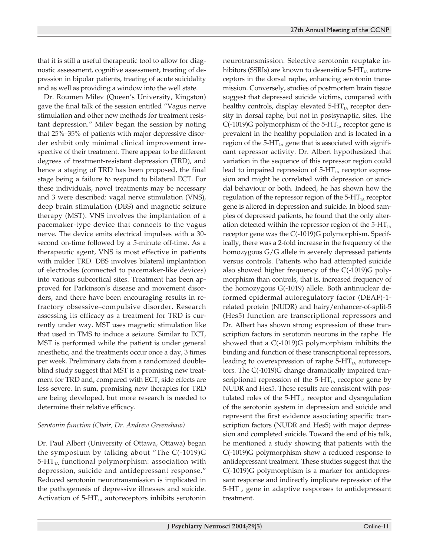that it is still a useful therapeutic tool to allow for diagnostic assessment, cognitive assessment, treating of depression in bipolar patients, treating of acute suicidality and as well as providing a window into the well state.

Dr. Roumen Milev (Queen's University, Kingston) gave the final talk of the session entitled "Vagus nerve stimulation and other new methods for treatment resistant depression." Milev began the session by noting that 25%–35% of patients with major depressive disorder exhibit only minimal clinical improvement irrespective of their treatment. There appear to be different degrees of treatment-resistant depression (TRD), and hence a staging of TRD has been proposed, the final stage being a failure to respond to bilateral ECT. For these individuals, novel treatments may be necessary and 3 were described: vagal nerve stimulation (VNS), deep brain stimulation (DBS) and magnetic seizure therapy (MST). VNS involves the implantation of a pacemaker-type device that connects to the vagus nerve. The device emits electrical impulses with a 30 second on-time followed by a 5-minute off-time. As a therapeutic agent, VNS is most effective in patients with milder TRD. DBS involves bilateral implantation of electrodes (connected to pacemaker-like devices) into various subcortical sites. Treatment has been approved for Parkinson's disease and movement disorders, and there have been encouraging results in refractory obsessive–compulsive disorder. Research assessing its efficacy as a treatment for TRD is currently under way. MST uses magnetic stimulation like that used in TMS to induce a seizure. Similar to ECT, MST is performed while the patient is under general anesthetic, and the treatments occur once a day, 3 times per week. Preliminary data from a randomized doubleblind study suggest that MST is a promising new treatment for TRD and, compared with ECT, side effects are less severe. In sum, promising new therapies for TRD are being developed, but more research is needed to determine their relative efficacy.

#### *Serotonin function (Chair, Dr. Andrew Greenshaw)*

Dr. Paul Albert (University of Ottawa, Ottawa) began the symposium by talking about "The C(-1019)G  $5-HT<sub>1A</sub>$  functional polymorphism: association with depression, suicide and antidepressant response." Reduced serotonin neurotransmission is implicated in the pathogenesis of depressive illnesses and suicide. Activation of  $5-HT<sub>1A</sub>$  autoreceptors inhibits serotonin neurotransmission. Selective serotonin reuptake inhibitors (SSRIs) are known to desensitize  $5-HT<sub>1A</sub>$  autoreceptors in the dorsal raphe, enhancing serotonin transmission. Conversely, studies of postmortem brain tissue suggest that depressed suicide victims, compared with healthy controls, display elevated  $5-HT<sub>1A</sub>$  receptor density in dorsal raphe, but not in postsynaptic, sites. The C(-1019)G polymorphism of the 5-HT $_{1A}$  receptor gene is prevalent in the healthy population and is located in a region of the  $5$ -HT<sub>1A</sub> gene that is associated with significant repressor activity. Dr. Albert hypothesized that variation in the sequence of this repressor region could lead to impaired repression of  $5-HT<sub>1A</sub>$  receptor expression and might be correlated with depression or suicidal behaviour or both. Indeed, he has shown how the regulation of the repressor region of the  $5-HT<sub>1A</sub>$  receptor gene is altered in depression and suicide. In blood samples of depressed patients, he found that the only alteration detected within the repressor region of the  $5-HT<sub>1A</sub>$ receptor gene was the C(-1019)G polymorphism. Specifically, there was a 2-fold increase in the frequency of the homozygous G/G allele in severely depressed patients versus controls. Patients who had attempted suicide also showed higher frequency of the C(-1019)G polymorphism than controls, that is, increased frequency of the homozygous G(-1019) allele. Both antinuclear deformed epidermal autoregulatory factor (DEAF)-1 related protein (NUDR) and hairy/enhancer-of-split-5 (Hes5) function are transcriptional repressors and Dr. Albert has shown strong expression of these transcription factors in serotonin neurons in the raphe. He showed that a C(-1019)G polymorphism inhibits the binding and function of these transcriptional repressors, leading to overexpression of raphe  $5-HT<sub>1A</sub>$  autoreceptors. The C(-1019)G change dramatically impaired transcriptional repression of the  $5-HT<sub>1A</sub>$  receptor gene by NUDR and Hes5. These results are consistent with postulated roles of the  $5-HT<sub>1A</sub>$  receptor and dysregulation of the serotonin system in depression and suicide and represent the first evidence associating specific transcription factors (NUDR and Hes5) with major depression and completed suicide. Toward the end of his talk, he mentioned a study showing that patients with the C(-1019)G polymorphism show a reduced response to antidepressant treatment. These studies suggest that the C(-1019)G polymorphism is a marker for antidepressant response and indirectly implicate repression of the  $5-HT<sub>1A</sub>$  gene in adaptive responses to antidepressant treatment.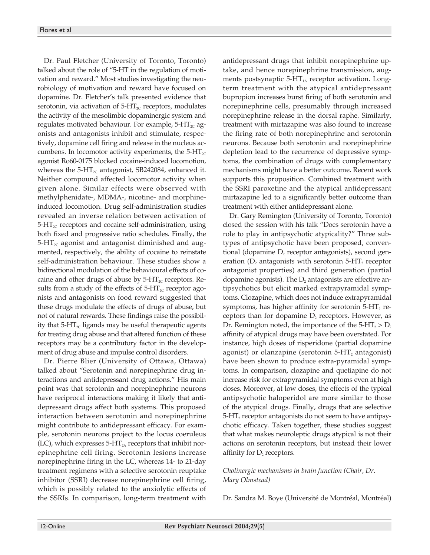Dr. Paul Fletcher (University of Toronto, Toronto) talked about the role of "5-HT in the regulation of motivation and reward." Most studies investigating the neurobiology of motivation and reward have focused on dopamine. Dr. Fletcher's talk presented evidence that serotonin, via activation of  $5-\text{HT}_{2C}$  receptors, modulates the activity of the mesolimbic dopaminergic system and regulates motivated behaviour. For example,  $5-HT_{\text{2C}}$  agonists and antagonists inhibit and stimulate, respectively, dopamine cell firing and release in the nucleus accumbens. In locomotor activity experiments, the  $5-HT_{2C}$ agonist Ro60-0175 blocked cocaine-induced locomotion, whereas the  $5-\text{HT}_{2C}$  antagonist, SB242084, enhanced it. Neither compound affected locomotor activity when given alone. Similar effects were observed with methylphenidate-, MDMA-, nicotine- and morphineinduced locomotion. Drug self-administration studies revealed an inverse relation between activation of  $5-\text{HT}_{2c}$  receptors and cocaine self-administration, using both fixed and progressive ratio schedules. Finally, the  $5-\text{HT}_{2c}$  agonist and antagonist diminished and augmented, respectively, the ability of cocaine to reinstate self-administration behaviour. These studies show a bidirectional modulation of the behavioural effects of cocaine and other drugs of abuse by  $5-HT_{2C}$  receptors. Results from a study of the effects of  $5-\text{HT}_{2C}$  receptor agonists and antagonists on food reward suggested that these drugs modulate the effects of drugs of abuse, but not of natural rewards. These findings raise the possibility that 5-H $T_{2c}$  ligands may be useful therapeutic agents for treating drug abuse and that altered function of these receptors may be a contributory factor in the development of drug abuse and impulse control disorders.

Dr. Pierre Blier (University of Ottawa, Ottawa) talked about "Serotonin and norepinephrine drug interactions and antidepressant drug actions." His main point was that serotonin and norepinephrine neurons have reciprocal interactions making it likely that antidepressant drugs affect both systems. This proposed interaction between serotonin and norepinephrine might contribute to antidepressant efficacy. For example, serotonin neurons project to the locus coeruleus (LC), which expresses  $5-HT<sub>2A</sub>$  receptors that inhibit norepinephrine cell firing. Serotonin lesions increase norepinephrine firing in the LC, whereas 14- to 21-day treatment regimens with a selective serotonin reuptake inhibitor (SSRI) decrease norepinephrine cell firing, which is possibly related to the anxiolytic effects of the SSRIs. In comparison, long-term treatment with

antidepressant drugs that inhibit norepinephrine uptake, and hence norepinephrine transmission, augments postsynaptic  $5-HT<sub>1A</sub>$  receptor activation. Longterm treatment with the atypical antidepressant bupropion increases burst firing of both serotonin and norepinephrine cells, presumably through increased norepinephrine release in the dorsal raphe. Similarly, treatment with mirtazapine was also found to increase the firing rate of both norepinephrine and serotonin neurons. Because both serotonin and norepinephrine depletion lead to the recurrence of depressive symptoms, the combination of drugs with complementary mechanisms might have a better outcome. Recent work supports this proposition. Combined treatment with the SSRI paroxetine and the atypical antidepressant mirtazapine led to a significantly better outcome than treatment with either antidepressant alone.

Dr. Gary Remington (University of Toronto, Toronto) closed the session with his talk "Does serotonin have a role to play in antipsychotic atypicality?" Three subtypes of antipsychotic have been proposed, conventional (dopamine  $D_2$  receptor antagonists), second generation ( $D_2$  antagonists with serotonin 5-HT<sub>2</sub> receptor antagonist properties) and third generation (partial dopamine agonists). The  $D_2$  antagonists are effective antipsychotics but elicit marked extrapyramidal symptoms. Clozapine, which does not induce extrapyramidal symptoms, has higher affinity for serotonin  $5-HT_2$  receptors than for dopamine  $D_2$  receptors. However, as Dr. Remington noted, the importance of the  $5-HT_2 > D_2$ affinity of atypical drugs may have been overstated. For instance, high doses of risperidone (partial dopamine agonist) or olanzapine (serotonin  $5-HT_2$  antagonist) have been shown to produce extra-pyramidal symptoms. In comparison, clozapine and quetiapine do not increase risk for extrapyramidal symptoms even at high doses. Moreover, at low doses, the effects of the typical antipsychotic haloperidol are more similar to those of the atypical drugs. Finally, drugs that are selective 5-HT<sub>2</sub> receptor antagonists do not seem to have antipsychotic efficacy. Taken together, these studies suggest that what makes neuroleptic drugs atypical is not their actions on serotonin receptors, but instead their lower affinity for  $D<sub>2</sub>$  receptors.

#### *Cholinergic mechanisms in brain function (Chair, Dr. Mary Olmstead)*

Dr. Sandra M. Boye (Université de Montréal, Montréal)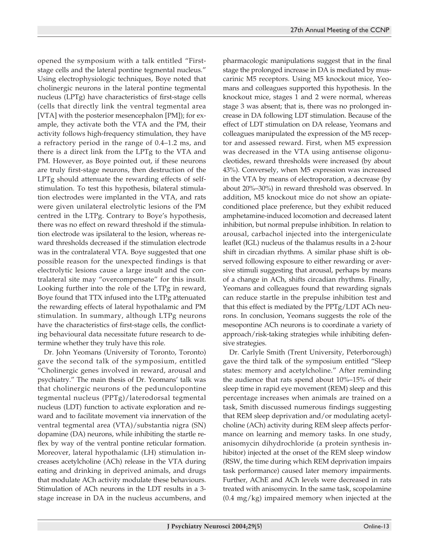opened the symposium with a talk entitled "Firststage cells and the lateral pontine tegmental nucleus." Using electrophysiologic techniques, Boye noted that cholinergic neurons in the lateral pontine tegmental nucleus (LPTg) have characteristics of first-stage cells (cells that directly link the ventral tegmental area [VTA] with the posterior mesencephalon [PM]); for example, they activate both the VTA and the PM, their activity follows high-frequency stimulation, they have a refractory period in the range of 0.4–1.2 ms, and there is a direct link from the LPTg to the VTA and PM. However, as Boye pointed out, if these neurons are truly first-stage neurons, then destruction of the LPTg should attenuate the rewarding effects of selfstimulation. To test this hypothesis, bilateral stimulation electrodes were implanted in the VTA, and rats were given unilateral electrolytic lesions of the PM centred in the LTPg. Contrary to Boye's hypothesis, there was no effect on reward threshold if the stimulation electrode was ipsilateral to the lesion, whereas reward thresholds decreased if the stimulation electrode was in the contralateral VTA. Boye suggested that one possible reason for the unexpected findings is that electrolytic lesions cause a large insult and the contralateral site may "overcompensate" for this insult. Looking further into the role of the LTPg in reward, Boye found that TTX infused into the LTPg attenuated the rewarding effects of lateral hypothalamic and PM stimulation. In summary, although LTPg neurons have the characteristics of first-stage cells, the conflicting behavioural data necessitate future research to determine whether they truly have this role.

Dr. John Yeomans (University of Toronto, Toronto) gave the second talk of the symposium, entitled "Cholinergic genes involved in reward, arousal and psychiatry." The main thesis of Dr. Yeomans' talk was that cholinergic neurons of the pedunculopontine tegmental nucleus (PPTg)/laterodorsal tegmental nucleus (LDT) function to activate exploration and reward and to facilitate movement via innervation of the ventral tegmental area (VTA)/substantia nigra (SN) dopamine (DA) neurons, while inhibiting the startle reflex by way of the ventral pontine reticular formation. Moreover, lateral hypothalamic (LH) stimulation increases acetylcholine (ACh) release in the VTA during eating and drinking in deprived animals, and drugs that modulate ACh activity modulate these behaviours. Stimulation of ACh neurons in the LDT results in a 3 stage increase in DA in the nucleus accumbens, and pharmacologic manipulations suggest that in the final stage the prolonged increase in DA is mediated by muscarinic M5 receptors. Using M5 knockout mice, Yeomans and colleagues supported this hypothesis. In the knockout mice, stages 1 and 2 were normal, whereas stage 3 was absent; that is, there was no prolonged increase in DA following LDT stimulation. Because of the effect of LDT stimulation on DA release, Yeomans and colleagues manipulated the expression of the M5 receptor and assessed reward. First, when M5 expression was decreased in the VTA using antisense oligonucleotides, reward thresholds were increased (by about 43%). Conversely, when M5 expression was increased in the VTA by means of electroporation, a decrease (by about 20%–30%) in reward threshold was observed. In addition, M5 knockout mice do not show an opiateconditioned place preference, but they exhibit reduced amphetamine-induced locomotion and decreased latent inhibition, but normal prepulse inhibition. In relation to arousal, carbachol injected into the intergeniculate leaflet (IGL) nucleus of the thalamus results in a 2-hour shift in circadian rhythms. A similar phase shift is observed following exposure to either rewarding or aversive stimuli suggesting that arousal, perhaps by means of a change in ACh, shifts circadian rhythms. Finally, Yeomans and colleagues found that rewarding signals can reduce startle in the prepulse inhibition test and that this effect is mediated by the PPTg/LDT ACh neurons. In conclusion, Yeomans suggests the role of the mesopontine ACh neurons is to coordinate a variety of approach/risk-taking strategies while inhibiting defensive strategies.

Dr. Carlyle Smith (Trent University, Peterborough) gave the third talk of the symposium entitled "Sleep states: memory and acetylcholine." After reminding the audience that rats spend about 10%–15% of their sleep time in rapid eye movement (REM) sleep and this percentage increases when animals are trained on a task, Smith discussed numerous findings suggesting that REM sleep deprivation and/or modulating acetylcholine (ACh) activity during REM sleep affects performance on learning and memory tasks. In one study, anisomycin dihydrochloride (a protein synthesis inhibitor) injected at the onset of the REM sleep window (RSW, the time during which REM deprivation impairs task performance) caused later memory impairments. Further, AChE and ACh levels were decreased in rats treated with anisomycin. In the same task, scopolamine (0.4 mg/kg) impaired memory when injected at the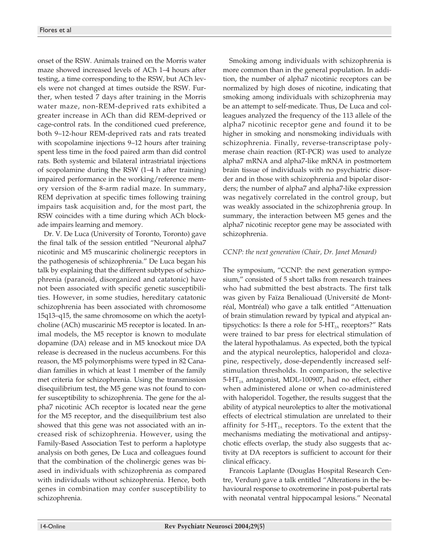onset of the RSW. Animals trained on the Morris water maze showed increased levels of ACh 1–4 hours after testing, a time corresponding to the RSW, but ACh levels were not changed at times outside the RSW. Further, when tested 7 days after training in the Morris water maze, non-REM-deprived rats exhibited a greater increase in ACh than did REM-deprived or cage-control rats. In the conditioned cued preference, both 9–12-hour REM-deprived rats and rats treated with scopolamine injections 9–12 hours after training spent less time in the food paired arm than did control rats. Both systemic and bilateral intrastriatal injections of scopolamine during the RSW (1–4 h after training) impaired performance in the working/reference memory version of the 8-arm radial maze. In summary, REM deprivation at specific times following training impairs task acquisition and, for the most part, the RSW coincides with a time during which ACh blockade impairs learning and memory.

Dr. V. De Luca (University of Toronto, Toronto) gave the final talk of the session entitled "Neuronal alpha7 nicotinic and M5 muscarinic cholinergic receptors in the pathogenesis of schizophrenia." De Luca began his talk by explaining that the different subtypes of schizophrenia (paranoid, disorganized and catatonic) have not been associated with specific genetic susceptibilities. However, in some studies, hereditary catatonic schizophrenia has been associated with chromosome 15q13–q15, the same chromosome on which the acetylcholine (ACh) muscarinic M5 receptor is located. In animal models, the M5 receptor is known to modulate dopamine (DA) release and in M5 knockout mice DA release is decreased in the nucleus accumbens. For this reason, the M5 polymorphisms were typed in 82 Canadian families in which at least 1 member of the family met criteria for schizophrenia. Using the transmission disequilibrium test, the M5 gene was not found to confer susceptibility to schizophrenia. The gene for the alpha7 nicotinic ACh receptor is located near the gene for the M5 receptor, and the disequilibrium test also showed that this gene was not associated with an increased risk of schizophrenia. However, using the Family-Based Association Test to perform a haplotype analysis on both genes, De Luca and colleagues found that the combination of the cholinergic genes was biased in individuals with schizophrenia as compared with individuals without schizophrenia. Hence, both genes in combination may confer susceptibility to schizophrenia.

Smoking among individuals with schizophrenia is more common than in the general population. In addition, the number of alpha7 nicotinic receptors can be normalized by high doses of nicotine, indicating that smoking among individuals with schizophrenia may be an attempt to self-medicate. Thus, De Luca and colleagues analyzed the frequency of the 113 allele of the alpha7 nicotinic receptor gene and found it to be higher in smoking and nonsmoking individuals with schizophrenia. Finally, reverse-transcriptase polymerase chain reaction (RT-PCR) was used to analyze alpha7 mRNA and alpha7-like mRNA in postmortem brain tissue of individuals with no psychiatric disorder and in those with schizophrenia and bipolar disorders; the number of alpha7 and alpha7-like expression was negatively correlated in the control group, but was weakly associated in the schizophrenia group. In summary, the interaction between M5 genes and the alpha7 nicotinic receptor gene may be associated with schizophrenia.

#### *CCNP: the next generation (Chair, Dr. Janet Menard)*

The symposium, "CCNP: the next generation symposium," consisted of 5 short talks from research trainees who had submitted the best abstracts. The first talk was given by Faïza Benaliouad (Université de Montréal, Montréal) who gave a talk entitled "Attenuation of brain stimulation reward by typical and atypical antipsychotics: Is there a role for  $5-HT_{2A}$  receptors?" Rats were trained to bar press for electrical stimulation of the lateral hypothalamus. As expected, both the typical and the atypical neuroleptics, haloperidol and clozapine, respectively, dose-dependently increased selfstimulation thresholds. In comparison, the selective  $5-HT<sub>2A</sub>$  antagonist, MDL-100907, had no effect, either when administered alone or when co-administered with haloperidol. Together, the results suggest that the ability of atypical neuroleptics to alter the motivational effects of electrical stimulation are unrelated to their affinity for  $5-HT<sub>2A</sub>$  receptors. To the extent that the mechanisms mediating the motivational and antipsychotic effects overlap, the study also suggests that activity at DA receptors is sufficient to account for their clinical efficacy.

Francois Laplante (Douglas Hospital Research Centre, Verdun) gave a talk entitled "Alterations in the behavioural response to oxotremorine in post-pubertal rats with neonatal ventral hippocampal lesions." Neonatal